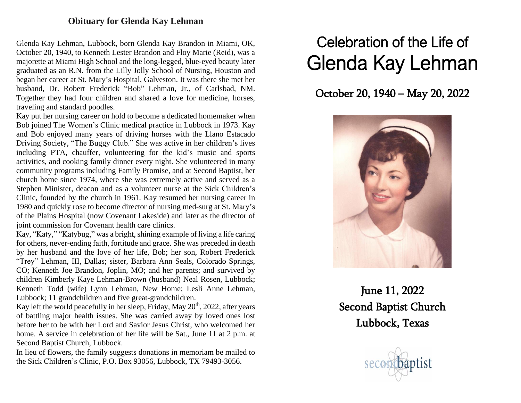## **Obituary for Glenda Kay Lehman**

Glenda Kay Lehman, Lubbock, born Glenda Kay Brandon in Miami, OK, October 20, 1940, to Kenneth Lester Brandon and Floy Marie (Reid), was a majorette at Miami High School and the long-legged, blue-eyed beauty later graduated as an R.N. from the Lilly Jolly School of Nursing, Houston and began her career at St. Mary's Hospital, Galveston. It was there she met her husband, Dr. Robert Frederick "Bob" Lehman, Jr., of Carlsbad, NM. Together they had four children and shared a love for medicine, horses, traveling and standard poodles.

Kay put her nursing career on hold to become a dedicated homemaker when Bob joined The Women's Clinic medical practice in Lubbock in 1973. Kay and Bob enjoyed many years of driving horses with the Llano Estacado Driving Society, "The Buggy Club." She was active in her children's lives including PTA, chauffer, volunteering for the kid's music and sports activities, and cooking family dinner every night. She volunteered in many community programs including Family Promise, and at Second Baptist, her church home since 1974, where she was extremely active and served as a Stephen Minister, deacon and as a volunteer nurse at the Sick Children's Clinic, founded by the church in 1961. Kay resumed her nursing career in 1980 and quickly rose to become director of nursing med-surg at St. Mary's of the Plains Hospital (now Covenant Lakeside) and later as the director of joint commission for Covenant health care clinics.

Kay, "Katy," "Katybug," was a bright, shining example of living a life caring for others, never-ending faith, fortitude and grace. She was preceded in death by her husband and the love of her life, Bob; her son, Robert Frederick "Trey" Lehman, III, Dallas; sister, Barbara Ann Seals, Colorado Springs, CO; Kenneth Joe Brandon, Joplin, MO; and her parents; and survived by children Kimberly Kaye Lehman-Brown (husband) Neal Rosen, Lubbock; Kenneth Todd (wife) Lynn Lehman, New Home; Lesli Anne Lehman, Lubbock; 11 grandchildren and five great-grandchildren.

Kay left the world peacefully in her sleep, Friday, May  $20<sup>th</sup>$ , 2022, after years of battling major health issues. She was carried away by loved ones lost before her to be with her Lord and Savior Jesus Christ, who welcomed her home. A service in celebration of her life will be Sat., June 11 at 2 p.m. at Second Baptist Church, Lubbock.

In lieu of flowers, the family suggests donations in memoriam be mailed to the Sick Children's Clinic, P.O. Box 93056, Lubbock, TX 79493-3056.

## Celebration of the Life of Glenda Kay Lehman

## October 20, 1940 – May 20, 2022



June 11, 2022 Second Baptist Church Lubbock, Texas